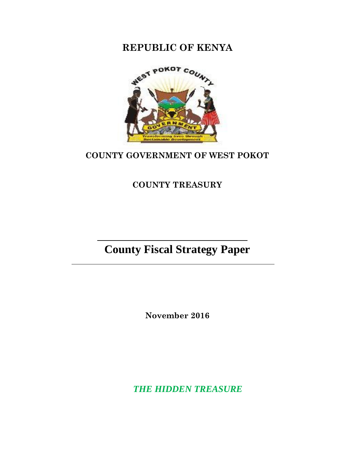**REPUBLIC OF KENYA**



# **COUNTY GOVERNMENT OF WEST POKOT**

# **COUNTY TREASURY**

# **County Fiscal Strategy Paper**

**November 2016**

*THE HIDDEN TREASURE*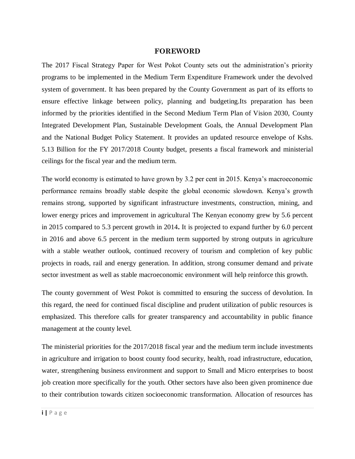#### **FOREWORD**

<span id="page-1-0"></span>The 2017 Fiscal Strategy Paper for West Pokot County sets out the administration's priority programs to be implemented in the Medium Term Expenditure Framework under the devolved system of government. It has been prepared by the County Government as part of its efforts to ensure effective linkage between policy, planning and budgeting.Its preparation has been informed by the priorities identified in the Second Medium Term Plan of Vision 2030, County Integrated Development Plan, Sustainable Development Goals, the Annual Development Plan and the National Budget Policy Statement. It provides an updated resource envelope of Kshs. 5.13 Billion for the FY 2017/2018 County budget, presents a fiscal framework and ministerial ceilings for the fiscal year and the medium term.

The world economy is estimated to have grown by 3.2 per cent in 2015. Kenya's macroeconomic performance remains broadly stable despite the global economic slowdown. Kenya's growth remains strong, supported by significant infrastructure investments, construction, mining, and lower energy prices and improvement in agricultural The Kenyan economy grew by 5.6 percent in 2015 compared to 5.3 percent growth in 2014**.** It is projected to expand further by 6.0 percent in 2016 and above 6.5 percent in the medium term supported by strong outputs in agriculture with a stable weather outlook, continued recovery of tourism and completion of key public projects in roads, rail and energy generation. In addition, strong consumer demand and private sector investment as well as stable macroeconomic environment will help reinforce this growth.

The county government of West Pokot is committed to ensuring the success of devolution. In this regard, the need for continued fiscal discipline and prudent utilization of public resources is emphasized. This therefore calls for greater transparency and accountability in public finance management at the county level.

The ministerial priorities for the 2017/2018 fiscal year and the medium term include investments in agriculture and irrigation to boost county food security, health, road infrastructure, education, water, strengthening business environment and support to Small and Micro enterprises to boost job creation more specifically for the youth. Other sectors have also been given prominence due to their contribution towards citizen socioeconomic transformation. Allocation of resources has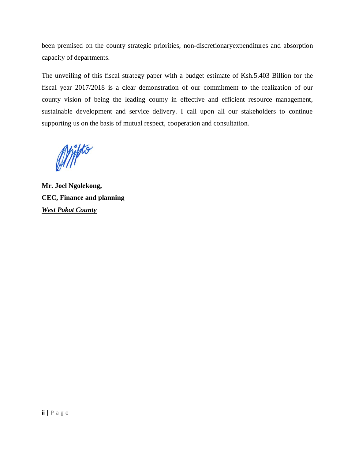been premised on the county strategic priorities, non-discretionaryexpenditures and absorption capacity of departments.

The unveiling of this fiscal strategy paper with a budget estimate of Ksh.5.403 Billion for the fiscal year 2017/2018 is a clear demonstration of our commitment to the realization of our county vision of being the leading county in effective and efficient resource management, sustainable development and service delivery. I call upon all our stakeholders to continue supporting us on the basis of mutual respect, cooperation and consultation.

ampto

**Mr. Joel Ngolekong, CEC, Finance and planning**  *West Pokot County*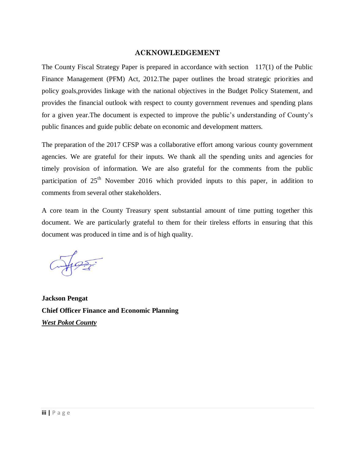#### **ACKNOWLEDGEMENT**

<span id="page-3-0"></span>The County Fiscal Strategy Paper is prepared in accordance with section 117(1) of the Public Finance Management (PFM) Act, 2012.The paper outlines the broad strategic priorities and policy goals,provides linkage with the national objectives in the Budget Policy Statement, and provides the financial outlook with respect to county government revenues and spending plans for a given year.The document is expected to improve the public's understanding of County's public finances and guide public debate on economic and development matters.

The preparation of the 2017 CFSP was a collaborative effort among various county government agencies. We are grateful for their inputs. We thank all the spending units and agencies for timely provision of information. We are also grateful for the comments from the public participation of  $25<sup>th</sup>$  November 2016 which provided inputs to this paper, in addition to comments from several other stakeholders.

A core team in the County Treasury spent substantial amount of time putting together this document. We are particularly grateful to them for their tireless efforts in ensuring that this document was produced in time and is of high quality.

**Jackson Pengat Chief Officer Finance and Economic Planning** *West Pokot County*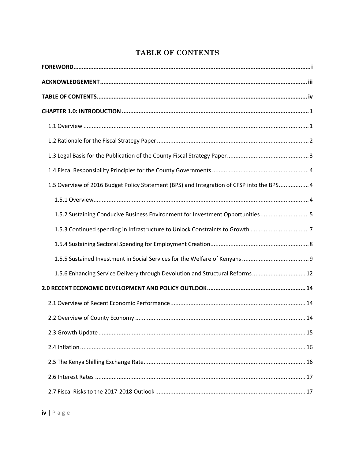# **TABLE OF CONTENTS**

<span id="page-4-0"></span>

| 1.5 Overview of 2016 Budget Policy Statement (BPS) and Integration of CFSP into the BPS 4 |
|-------------------------------------------------------------------------------------------|
|                                                                                           |
| 1.5.2 Sustaining Conducive Business Environment for Investment Opportunities5             |
| 1.5.3 Continued spending in Infrastructure to Unlock Constraints to Growth 7              |
|                                                                                           |
|                                                                                           |
| 1.5.6 Enhancing Service Delivery through Devolution and Structural Reforms 12             |
|                                                                                           |
|                                                                                           |
|                                                                                           |
|                                                                                           |
|                                                                                           |
|                                                                                           |
|                                                                                           |
|                                                                                           |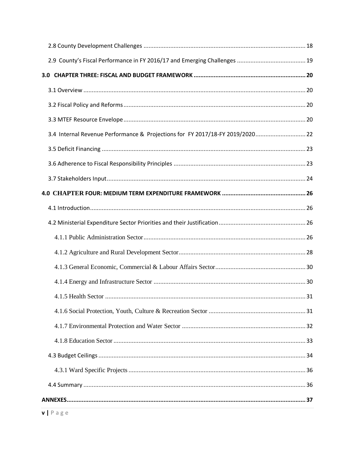| 3.4 Internal Revenue Performance & Projections for FY 2017/18-FY 2019/2020 22 |  |
|-------------------------------------------------------------------------------|--|
|                                                                               |  |
|                                                                               |  |
|                                                                               |  |
|                                                                               |  |
|                                                                               |  |
|                                                                               |  |
|                                                                               |  |
|                                                                               |  |
|                                                                               |  |
|                                                                               |  |
|                                                                               |  |
|                                                                               |  |
|                                                                               |  |
|                                                                               |  |
|                                                                               |  |
|                                                                               |  |
|                                                                               |  |
|                                                                               |  |
|                                                                               |  |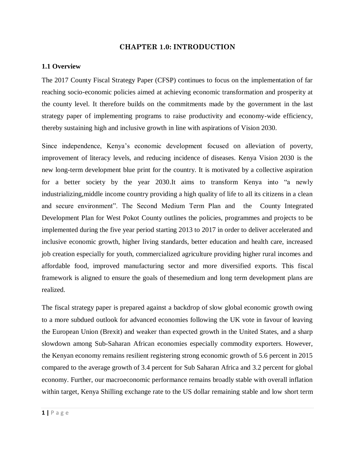#### **CHAPTER 1.0: INTRODUCTION**

#### <span id="page-7-1"></span><span id="page-7-0"></span>**1.1 Overview**

The 2017 County Fiscal Strategy Paper (CFSP) continues to focus on the implementation of far reaching socio-economic policies aimed at achieving economic transformation and prosperity at the county level. It therefore builds on the commitments made by the government in the last strategy paper of implementing programs to raise productivity and economy-wide efficiency, thereby sustaining high and inclusive growth in line with aspirations of Vision 2030.

Since independence, Kenya's economic development focused on alleviation of poverty, improvement of literacy levels, and reducing incidence of diseases. Kenya Vision 2030 is the new long-term development blue print for the country. It is motivated by a collective aspiration for a better society by the year 2030.It aims to transform Kenya into "a newly industrializing,middle income country providing a high quality of life to all its citizens in a clean and secure environment". The Second Medium Term Plan and the County Integrated Development Plan for West Pokot County outlines the policies, programmes and projects to be implemented during the five year period starting 2013 to 2017 in order to deliver accelerated and inclusive economic growth, higher living standards, better education and health care, increased job creation especially for youth, commercialized agriculture providing higher rural incomes and affordable food, improved manufacturing sector and more diversified exports. This fiscal framework is aligned to ensure the goals of thesemedium and long term development plans are realized.

The fiscal strategy paper is prepared against a backdrop of slow global economic growth owing to a more subdued outlook for advanced economies following the UK vote in favour of leaving the European Union (Brexit) and weaker than expected growth in the United States, and a sharp slowdown among Sub-Saharan African economies especially commodity exporters. However, the Kenyan economy remains resilient registering strong economic growth of 5.6 percent in 2015 compared to the average growth of 3.4 percent for Sub Saharan Africa and 3.2 percent for global economy. Further, our macroeconomic performance remains broadly stable with overall inflation within target, Kenya Shilling exchange rate to the US dollar remaining stable and low short term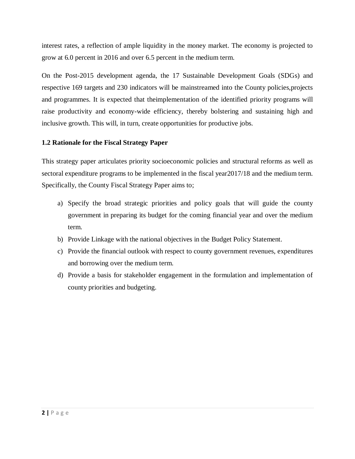interest rates, a reflection of ample liquidity in the money market. The economy is projected to grow at 6.0 percent in 2016 and over 6.5 percent in the medium term.

On the Post-2015 development agenda, the 17 Sustainable Development Goals (SDGs) and respective 169 targets and 230 indicators will be mainstreamed into the County policies,projects and programmes. It is expected that theimplementation of the identified priority programs will raise productivity and economy-wide efficiency, thereby bolstering and sustaining high and inclusive growth. This will, in turn, create opportunities for productive jobs.

# <span id="page-8-0"></span>**1.2 Rationale for the Fiscal Strategy Paper**

This strategy paper articulates priority socioeconomic policies and structural reforms as well as sectoral expenditure programs to be implemented in the fiscal year2017/18 and the medium term. Specifically, the County Fiscal Strategy Paper aims to;

- a) Specify the broad strategic priorities and policy goals that will guide the county government in preparing its budget for the coming financial year and over the medium term.
- b) Provide Linkage with the national objectives in the Budget Policy Statement.
- c) Provide the financial outlook with respect to county government revenues, expenditures and borrowing over the medium term.
- d) Provide a basis for stakeholder engagement in the formulation and implementation of county priorities and budgeting.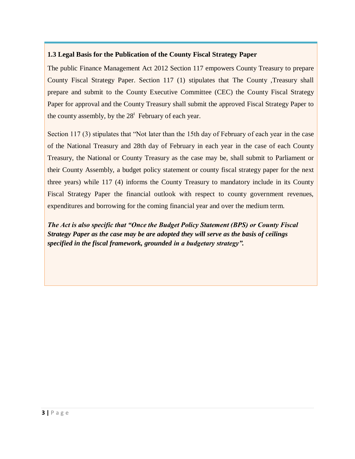# <span id="page-9-0"></span>**1.3 Legal Basis for the Publication of the County Fiscal Strategy Paper**

The public Finance Management Act 2012 Section 117 empowers County Treasury to prepare County Fiscal Strategy Paper. Section 117 (1) stipulates that The County ,Treasury shall prepare and submit to the County Executive Committee (CEC) the County Fiscal Strategy Paper for approval and the County Treasury shall submit the approved Fiscal Strategy Paper to the county assembly, by the  $28<sup>t</sup>$  February of each year.

Section 117 (3) stipulates that "Not later than the 15th day of February of each year in the case of the National Treasury and 28th day of February in each year in the case of each County Treasury, the National or County Treasury as the case may be, shall submit to Parliament or their County Assembly, a budget policy statement or county fiscal strategy paper for the next three years) while 117 (4) informs the County Treasury to mandatory include in its County Fiscal Strategy Paper the financial outlook with respect to county government revenues, expenditures and borrowing for the coming financial year and over the medium term.

*The Act is also specific that "Once the Budget Policy Statement (BPS) or County Fiscal Strategy Paper as the case may be are adopted they will serve as the basis of ceilings specified in the fiscal framework, grounded in a budgetary strategy".*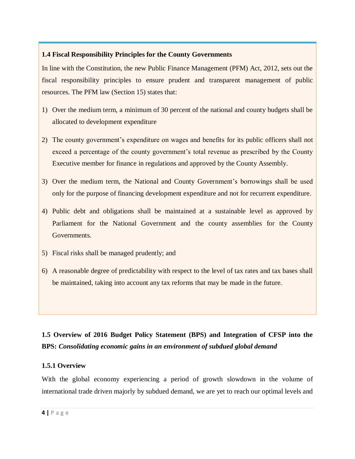#### <span id="page-10-0"></span>**1.4 Fiscal Responsibility Principles for the County Governments**

In line with the Constitution, the new Public Finance Management (PFM) Act, 2012, sets out the fiscal responsibility principles to ensure prudent and transparent management of public resources. The PFM law (Section 15) states that:

- 1) Over the medium term, a minimum of 30 percent of the national and county budgets shall be allocated to development expenditure
- 2) The county government's expenditure on wages and benefits for its public officers shall not exceed a percentage of the county government's total revenue as prescribed by the County Executive member for finance in regulations and approved by the County Assembly.
- 3) Over the medium term, the National and County Government's borrowings shall be used only for the purpose of financing development expenditure and not for recurrent expenditure.
- 4) Public debt and obligations shall be maintained at a sustainable level as approved by Parliament for the National Government and the county assemblies for the County Governments.
- 5) Fiscal risks shall be managed prudently; and
- 6) A reasonable degree of predictability with respect to the level of tax rates and tax bases shall be maintained, taking into account any tax reforms that may be made in the future.

# <span id="page-10-1"></span>**1.5 Overview of 2016 Budget Policy Statement (BPS) and Integration of CFSP into the BPS:** *Consolidating economic gains in an environment of subdued global demand*

## <span id="page-10-2"></span>**1.5.1 Overview**

With the global economy experiencing a period of growth slowdown in the volume of international trade driven majorly by subdued demand, we are yet to reach our optimal levels and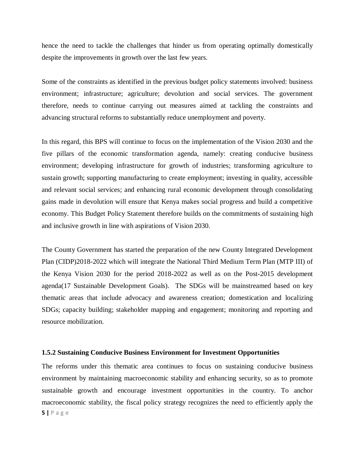hence the need to tackle the challenges that hinder us from operating optimally domestically despite the improvements in growth over the last few years.

Some of the constraints as identified in the previous budget policy statements involved: business environment; infrastructure; agriculture; devolution and social services. The government therefore, needs to continue carrying out measures aimed at tackling the constraints and advancing structural reforms to substantially reduce unemployment and poverty.

In this regard, this BPS will continue to focus on the implementation of the Vision 2030 and the five pillars of the economic transformation agenda, namely: creating conducive business environment; developing infrastructure for growth of industries; transforming agriculture to sustain growth; supporting manufacturing to create employment; investing in quality, accessible and relevant social services; and enhancing rural economic development through consolidating gains made in devolution will ensure that Kenya makes social progress and build a competitive economy. This Budget Policy Statement therefore builds on the commitments of sustaining high and inclusive growth in line with aspirations of Vision 2030.

The County Government has started the preparation of the new County Integrated Development Plan (CIDP)2018-2022 which will integrate the National Third Medium Term Plan (MTP III) of the Kenya Vision 2030 for the period 2018-2022 as well as on the Post-2015 development agenda(17 Sustainable Development Goals). The SDGs will be mainstreamed based on key thematic areas that include advocacy and awareness creation; domestication and localizing SDGs; capacity building; stakeholder mapping and engagement; monitoring and reporting and resource mobilization.

#### <span id="page-11-0"></span>**1.5.2 Sustaining Conducive Business Environment for Investment Opportunities**

The reforms under this thematic area continues to focus on sustaining conducive business environment by maintaining macroeconomic stability and enhancing security, so as to promote sustainable growth and encourage investment opportunities in the country. To anchor macroeconomic stability, the fiscal policy strategy recognizes the need to efficiently apply the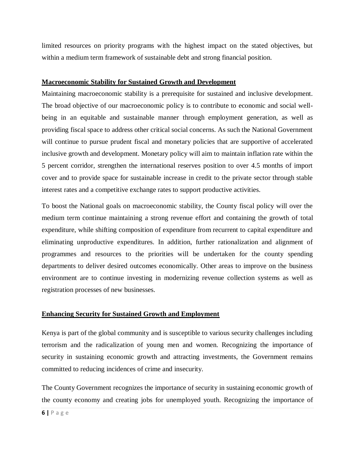limited resources on priority programs with the highest impact on the stated objectives, but within a medium term framework of sustainable debt and strong financial position.

#### **Macroeconomic Stability for Sustained Growth and Development**

Maintaining macroeconomic stability is a prerequisite for sustained and inclusive development. The broad objective of our macroeconomic policy is to contribute to economic and social wellbeing in an equitable and sustainable manner through employment generation, as well as providing fiscal space to address other critical social concerns. As such the National Government will continue to pursue prudent fiscal and monetary policies that are supportive of accelerated inclusive growth and development. Monetary policy will aim to maintain inflation rate within the 5 percent corridor, strengthen the international reserves position to over 4.5 months of import cover and to provide space for sustainable increase in credit to the private sector through stable interest rates and a competitive exchange rates to support productive activities.

To boost the National goals on macroeconomic stability, the County fiscal policy will over the medium term continue maintaining a strong revenue effort and containing the growth of total expenditure, while shifting composition of expenditure from recurrent to capital expenditure and eliminating unproductive expenditures. In addition, further rationalization and alignment of programmes and resources to the priorities will be undertaken for the county spending departments to deliver desired outcomes economically. Other areas to improve on the business environment are to continue investing in modernizing revenue collection systems as well as registration processes of new businesses.

#### **Enhancing Security for Sustained Growth and Employment**

Kenya is part of the global community and is susceptible to various security challenges including terrorism and the radicalization of young men and women. Recognizing the importance of security in sustaining economic growth and attracting investments, the Government remains committed to reducing incidences of crime and insecurity.

The County Government recognizes the importance of security in sustaining economic growth of the county economy and creating jobs for unemployed youth. Recognizing the importance of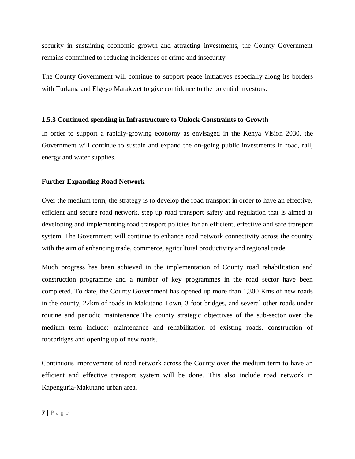security in sustaining economic growth and attracting investments, the County Government remains committed to reducing incidences of crime and insecurity.

The County Government will continue to support peace initiatives especially along its borders with Turkana and Elgeyo Marakwet to give confidence to the potential investors.

# <span id="page-13-0"></span>**1.5.3 Continued spending in Infrastructure to Unlock Constraints to Growth**

In order to support a rapidly-growing economy as envisaged in the Kenya Vision 2030, the Government will continue to sustain and expand the on-going public investments in road, rail, energy and water supplies.

# **Further Expanding Road Network**

Over the medium term, the strategy is to develop the road transport in order to have an effective, efficient and secure road network, step up road transport safety and regulation that is aimed at developing and implementing road transport policies for an efficient, effective and safe transport system. The Government will continue to enhance road network connectivity across the country with the aim of enhancing trade, commerce, agricultural productivity and regional trade.

Much progress has been achieved in the implementation of County road rehabilitation and construction programme and a number of key programmes in the road sector have been completed. To date, the County Government has opened up more than 1,300 Kms of new roads in the county, 22km of roads in Makutano Town, 3 foot bridges, and several other roads under routine and periodic maintenance.The county strategic objectives of the sub-sector over the medium term include: maintenance and rehabilitation of existing roads, construction of footbridges and opening up of new roads.

Continuous improvement of road network across the County over the medium term to have an efficient and effective transport system will be done. This also include road network in Kapenguria-Makutano urban area.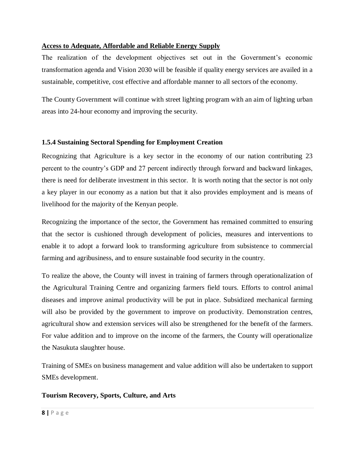## **Access to Adequate, Affordable and Reliable Energy Supply**

The realization of the development objectives set out in the Government's economic transformation agenda and Vision 2030 will be feasible if quality energy services are availed in a sustainable, competitive, cost effective and affordable manner to all sectors of the economy.

The County Government will continue with street lighting program with an aim of lighting urban areas into 24-hour economy and improving the security.

## <span id="page-14-0"></span>**1.5.4 Sustaining Sectoral Spending for Employment Creation**

Recognizing that Agriculture is a key sector in the economy of our nation contributing 23 percent to the country's GDP and 27 percent indirectly through forward and backward linkages, there is need for deliberate investment in this sector. It is worth noting that the sector is not only a key player in our economy as a nation but that it also provides employment and is means of livelihood for the majority of the Kenyan people.

Recognizing the importance of the sector, the Government has remained committed to ensuring that the sector is cushioned through development of policies, measures and interventions to enable it to adopt a forward look to transforming agriculture from subsistence to commercial farming and agribusiness, and to ensure sustainable food security in the country.

To realize the above, the County will invest in training of farmers through operationalization of the Agricultural Training Centre and organizing farmers field tours. Efforts to control animal diseases and improve animal productivity will be put in place. Subsidized mechanical farming will also be provided by the government to improve on productivity. Demonstration centres, agricultural show and extension services will also be strengthened for the benefit of the farmers. For value addition and to improve on the income of the farmers, the County will operationalize the Nasukuta slaughter house.

Training of SMEs on business management and value addition will also be undertaken to support SMEs development.

## **Tourism Recovery, Sports, Culture, and Arts**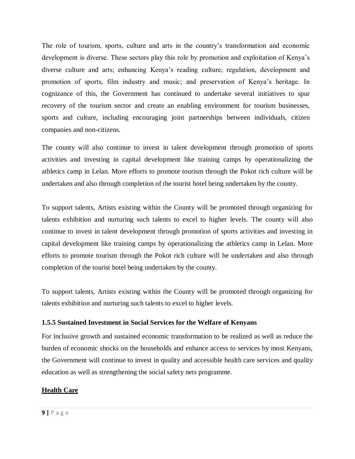The role of tourism, sports, culture and arts in the country's transformation and economic development is diverse. These sectors play this role by promotion and exploitation of Kenya's diverse culture and arts; enhancing Kenya's reading culture; regulation, development and promotion of sports, film industry and music; and preservation of Kenya's heritage. In cognizance of this, the Government has continued to undertake several initiatives to spur recovery of the tourism sector and create an enabling environment for tourism businesses, sports and culture, including encouraging joint partnerships between individuals, citizen companies and non-citizens.

The county will also continue to invest in talent development through promotion of sports activities and investing in capital development like training camps by operationalizing the athletics camp in Lelan. More efforts to promote tourism through the Pokot rich culture will be undertaken and also through completion of the tourist hotel being undertaken by the county.

To support talents, Artists existing within the County will be promoted through organizing for talents exhibition and nurturing such talents to excel to higher levels. The county will also continue to invest in talent development through promotion of sports activities and investing in capital development like training camps by operationalizing the athletics camp in Lelan. More efforts to promote tourism through the Pokot rich culture will be undertaken and also through completion of the tourist hotel being undertaken by the county.

To support talents, Artists existing within the County will be promoted through organizing for talents exhibition and nurturing such talents to excel to higher levels.

## <span id="page-15-0"></span>**1.5.5 Sustained Investment in Social Services for the Welfare of Kenyans**

For inclusive growth and sustained economic transformation to be realized as well as reduce the burden of economic shocks on the households and enhance access to services by most Kenyans, the Government will continue to invest in quality and accessible health care services and quality education as well as strengthening the social safety nets programme.

## **Health Care**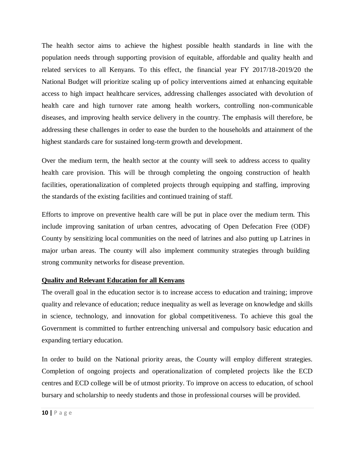The health sector aims to achieve the highest possible health standards in line with the population needs through supporting provision of equitable, affordable and quality health and related services to all Kenyans. To this effect, the financial year FY 2017/18-2019/20 the National Budget will prioritize scaling up of policy interventions aimed at enhancing equitable access to high impact healthcare services, addressing challenges associated with devolution of health care and high turnover rate among health workers, controlling non-communicable diseases, and improving health service delivery in the country. The emphasis will therefore, be addressing these challenges in order to ease the burden to the households and attainment of the highest standards care for sustained long-term growth and development.

Over the medium term, the health sector at the county will seek to address access to quality health care provision. This will be through completing the ongoing construction of health facilities, operationalization of completed projects through equipping and staffing, improving the standards of the existing facilities and continued training of staff.

Efforts to improve on preventive health care will be put in place over the medium term. This include improving sanitation of urban centres, advocating of Open Defecation Free (ODF) County by sensitizing local communities on the need of latrines and also putting up Latrines in major urban areas. The county will also implement community strategies through building strong community networks for disease prevention.

#### **Quality and Relevant Education for all Kenyans**

The overall goal in the education sector is to increase access to education and training; improve quality and relevance of education; reduce inequality as well as leverage on knowledge and skills in science, technology, and innovation for global competitiveness. To achieve this goal the Government is committed to further entrenching universal and compulsory basic education and expanding tertiary education.

In order to build on the National priority areas, the County will employ different strategies. Completion of ongoing projects and operationalization of completed projects like the ECD centres and ECD college will be of utmost priority. To improve on access to education, of school bursary and scholarship to needy students and those in professional courses will be provided.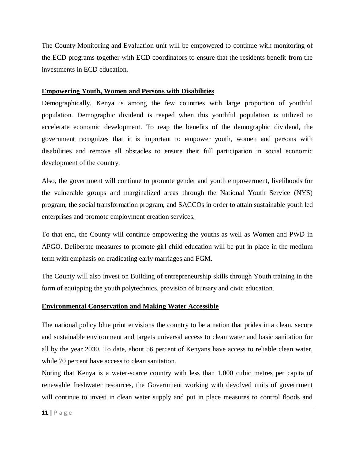The County Monitoring and Evaluation unit will be empowered to continue with monitoring of the ECD programs together with ECD coordinators to ensure that the residents benefit from the investments in ECD education.

#### **Empowering Youth, Women and Persons with Disabilities**

Demographically, Kenya is among the few countries with large proportion of youthful population. Demographic dividend is reaped when this youthful population is utilized to accelerate economic development. To reap the benefits of the demographic dividend, the government recognizes that it is important to empower youth, women and persons with disabilities and remove all obstacles to ensure their full participation in social economic development of the country.

Also, the government will continue to promote gender and youth empowerment, livelihoods for the vulnerable groups and marginalized areas through the National Youth Service (NYS) program, the social transformation program, and SACCOs in order to attain sustainable youth led enterprises and promote employment creation services.

To that end, the County will continue empowering the youths as well as Women and PWD in APGO. Deliberate measures to promote girl child education will be put in place in the medium term with emphasis on eradicating early marriages and FGM.

The County will also invest on Building of entrepreneurship skills through Youth training in the form of equipping the youth polytechnics, provision of bursary and civic education.

## **Environmental Conservation and Making Water Accessible**

The national policy blue print envisions the country to be a nation that prides in a clean, secure and sustainable environment and targets universal access to clean water and basic sanitation for all by the year 2030. To date, about 56 percent of Kenyans have access to reliable clean water, while 70 percent have access to clean sanitation.

Noting that Kenya is a water-scarce country with less than 1,000 cubic metres per capita of renewable freshwater resources, the Government working with devolved units of government will continue to invest in clean water supply and put in place measures to control floods and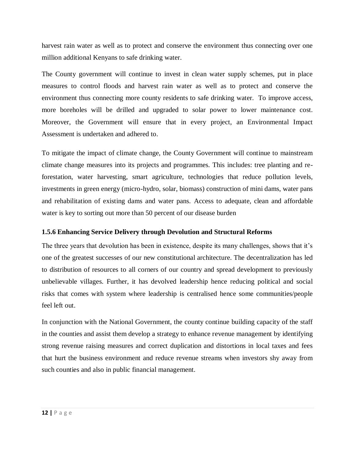harvest rain water as well as to protect and conserve the environment thus connecting over one million additional Kenyans to safe drinking water.

The County government will continue to invest in clean water supply schemes, put in place measures to control floods and harvest rain water as well as to protect and conserve the environment thus connecting more county residents to safe drinking water. To improve access, more boreholes will be drilled and upgraded to solar power to lower maintenance cost. Moreover, the Government will ensure that in every project, an Environmental Impact Assessment is undertaken and adhered to.

To mitigate the impact of climate change, the County Government will continue to mainstream climate change measures into its projects and programmes. This includes: tree planting and reforestation, water harvesting, smart agriculture, technologies that reduce pollution levels, investments in green energy (micro-hydro, solar, biomass) construction of mini dams, water pans and rehabilitation of existing dams and water pans. Access to adequate, clean and affordable water is key to sorting out more than 50 percent of our disease burden

#### <span id="page-18-0"></span>**1.5.6 Enhancing Service Delivery through Devolution and Structural Reforms**

The three years that devolution has been in existence, despite its many challenges, shows that it's one of the greatest successes of our new constitutional architecture. The decentralization has led to distribution of resources to all corners of our country and spread development to previously unbelievable villages. Further, it has devolved leadership hence reducing political and social risks that comes with system where leadership is centralised hence some communities/people feel left out.

In conjunction with the National Government, the county continue building capacity of the staff in the counties and assist them develop a strategy to enhance revenue management by identifying strong revenue raising measures and correct duplication and distortions in local taxes and fees that hurt the business environment and reduce revenue streams when investors shy away from such counties and also in public financial management.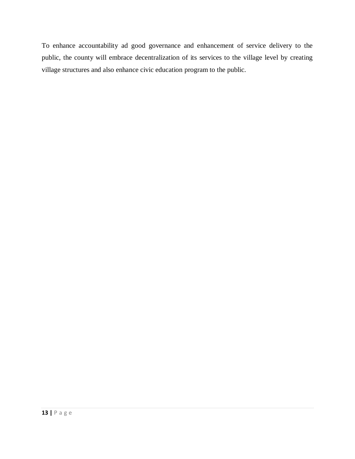To enhance accountability ad good governance and enhancement of service delivery to the public, the county will embrace decentralization of its services to the village level by creating village structures and also enhance civic education program to the public.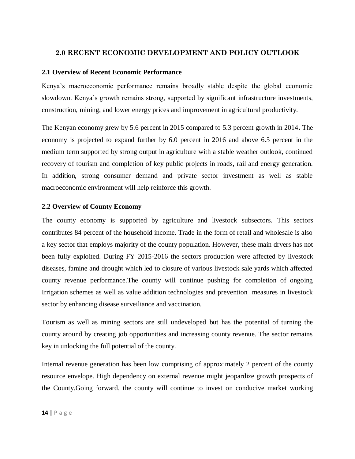# <span id="page-20-0"></span>**2.0 RECENT ECONOMIC DEVELOPMENT AND POLICY OUTLOOK**

#### <span id="page-20-1"></span>**2.1 Overview of Recent Economic Performance**

Kenya's macroeconomic performance remains broadly stable despite the global economic slowdown. Kenya's growth remains strong, supported by significant infrastructure investments, construction, mining, and lower energy prices and improvement in agricultural productivity.

The Kenyan economy grew by 5.6 percent in 2015 compared to 5.3 percent growth in 2014**.** The economy is projected to expand further by 6.0 percent in 2016 and above 6.5 percent in the medium term supported by strong output in agriculture with a stable weather outlook, continued recovery of tourism and completion of key public projects in roads, rail and energy generation. In addition, strong consumer demand and private sector investment as well as stable macroeconomic environment will help reinforce this growth.

#### <span id="page-20-2"></span>**2.2 Overview of County Economy**

The county economy is supported by agriculture and livestock subsectors. This sectors contributes 84 percent of the household income. Trade in the form of retail and wholesale is also a key sector that employs majority of the county population. However, these main drvers has not been fully exploited. During FY 2015-2016 the sectors production were affected by livestock diseases, famine and drought which led to closure of various livestock sale yards which affected county revenue performance.The county will continue pushing for completion of ongoing Irrigation schemes as well as value addition technologies and prevention measures in livestock sector by enhancing disease surveiliance and vaccination.

Tourism as well as mining sectors are still undeveloped but has the potential of turning the county around by creating job opportunities and increasing county revenue. The sector remains key in unlocking the full potential of the county.

Internal revenue generation has been low comprising of approximately 2 percent of the county resource envelope. High dependency on external revenue might jeopardize growth prospects of the County.Going forward, the county will continue to invest on conducive market working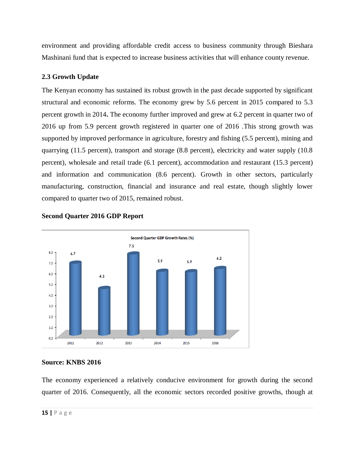environment and providing affordable credit access to business community through Bieshara Mashinani fund that is expected to increase business activities that will enhance county revenue.

## <span id="page-21-0"></span>**2.3 Growth Update**

The Kenyan economy has sustained its robust growth in the past decade supported by significant structural and economic reforms. The economy grew by 5.6 percent in 2015 compared to 5.3 percent growth in 2014**.** The economy further improved and grew at 6.2 percent in quarter two of 2016 up from 5.9 percent growth registered in quarter one of 2016 .This strong growth was supported by improved performance in agriculture, forestry and fishing (5.5 percent), mining and quarrying (11.5 percent), transport and storage (8.8 percent), electricity and water supply (10.8 percent), wholesale and retail trade (6.1 percent), accommodation and restaurant (15.3 percent) and information and communication (8.6 percent). Growth in other sectors, particularly manufacturing, construction, financial and insurance and real estate, though slightly lower compared to quarter two of 2015, remained robust.



#### **Second Quarter 2016 GDP Report**

#### **Source: KNBS 2016**

The economy experienced a relatively conducive environment for growth during the second quarter of 2016. Consequently, all the economic sectors recorded positive growths, though at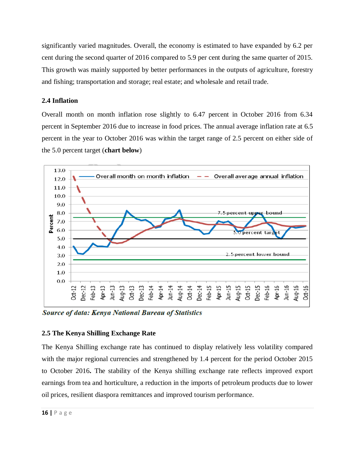significantly varied magnitudes. Overall, the economy is estimated to have expanded by 6.2 per cent during the second quarter of 2016 compared to 5.9 per cent during the same quarter of 2015. This growth was mainly supported by better performances in the outputs of agriculture, forestry and fishing; transportation and storage; real estate; and wholesale and retail trade.

## <span id="page-22-0"></span>**2.4 Inflation**

Overall month on month inflation rose slightly to 6.47 percent in October 2016 from 6.34 percent in September 2016 due to increase in food prices. The annual average inflation rate at 6.5 percent in the year to October 2016 was within the target range of 2.5 percent on either side of the 5.0 percent target (**chart below**)



**Source of data: Kenya National Bureau of Statistics** 

## <span id="page-22-1"></span>**2.5 The Kenya Shilling Exchange Rate**

The Kenya Shilling exchange rate has continued to display relatively less volatility compared with the major regional currencies and strengthened by 1.4 percent for the period October 2015 to October 2016**.** The stability of the Kenya shilling exchange rate reflects improved export earnings from tea and horticulture, a reduction in the imports of petroleum products due to lower oil prices, resilient diaspora remittances and improved tourism performance.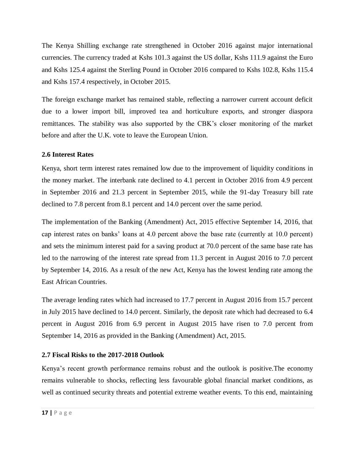The Kenya Shilling exchange rate strengthened in October 2016 against major international currencies. The currency traded at Kshs 101.3 against the US dollar, Kshs 111.9 against the Euro and Kshs 125.4 against the Sterling Pound in October 2016 compared to Kshs 102.8, Kshs 115.4 and Kshs 157.4 respectively, in October 2015.

The foreign exchange market has remained stable, reflecting a narrower current account deficit due to a lower import bill, improved tea and horticulture exports, and stronger diaspora remittances. The stability was also supported by the CBK's closer monitoring of the market before and after the U.K. vote to leave the European Union.

## <span id="page-23-0"></span>**2.6 Interest Rates**

Kenya, short term interest rates remained low due to the improvement of liquidity conditions in the money market. The interbank rate declined to 4.1 percent in October 2016 from 4.9 percent in September 2016 and 21.3 percent in September 2015, while the 91-day Treasury bill rate declined to 7.8 percent from 8.1 percent and 14.0 percent over the same period.

The implementation of the Banking (Amendment) Act, 2015 effective September 14, 2016, that cap interest rates on banks' loans at 4.0 percent above the base rate (currently at 10.0 percent) and sets the minimum interest paid for a saving product at 70.0 percent of the same base rate has led to the narrowing of the interest rate spread from 11.3 percent in August 2016 to 7.0 percent by September 14, 2016. As a result of the new Act, Kenya has the lowest lending rate among the East African Countries.

The average lending rates which had increased to 17.7 percent in August 2016 from 15.7 percent in July 2015 have declined to 14.0 percent. Similarly, the deposit rate which had decreased to 6.4 percent in August 2016 from 6.9 percent in August 2015 have risen to 7.0 percent from September 14, 2016 as provided in the Banking (Amendment) Act, 2015.

## <span id="page-23-1"></span>**2.7 Fiscal Risks to the 2017-2018 Outlook**

Kenya's recent growth performance remains robust and the outlook is positive.The economy remains vulnerable to shocks, reflecting less favourable global financial market conditions, as well as continued security threats and potential extreme weather events. To this end, maintaining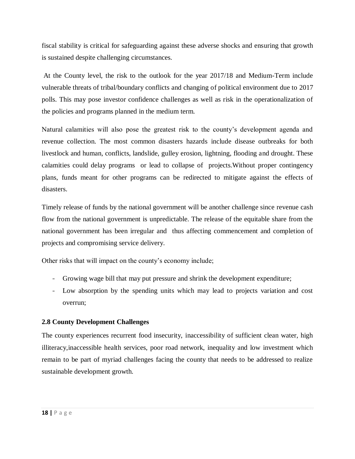fiscal stability is critical for safeguarding against these adverse shocks and ensuring that growth is sustained despite challenging circumstances.

At the County level, the risk to the outlook for the year 2017/18 and Medium-Term include vulnerable threats of tribal/boundary conflicts and changing of political environment due to 2017 polls. This may pose investor confidence challenges as well as risk in the operationalization of the policies and programs planned in the medium term.

Natural calamities will also pose the greatest risk to the county's development agenda and revenue collection. The most common disasters hazards include disease outbreaks for both livestlock and human, conflicts, landslide, gulley erosion, lightning, flooding and drought. These calamities could delay programs or lead to collapse of projects.Without proper contingency plans, funds meant for other programs can be redirected to mitigate against the effects of disasters.

Timely release of funds by the national government will be another challenge since revenue cash flow from the national government is unpredictable. The release of the equitable share from the national government has been irregular and thus affecting commencement and completion of projects and compromising service delivery.

Other risks that will impact on the county's economy include;

- Growing wage bill that may put pressure and shrink the development expenditure;
- Low absorption by the spending units which may lead to projects variation and cost overrun;

## <span id="page-24-0"></span>**2.8 County Development Challenges**

The county experiences recurrent food insecurity, inaccessibility of sufficient clean water, high illiteracy,inaccessible health services, poor road network, inequality and low investment which remain to be part of myriad challenges facing the county that needs to be addressed to realize sustainable development growth.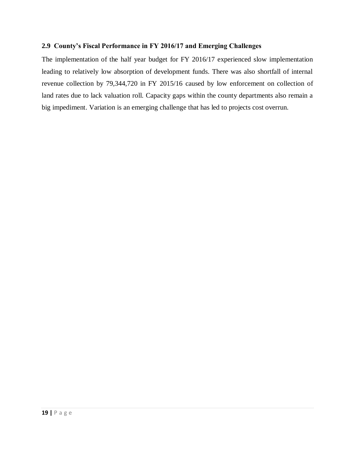## <span id="page-25-0"></span>**2.9 County's Fiscal Performance in FY 2016/17 and Emerging Challenges**

The implementation of the half year budget for FY 2016/17 experienced slow implementation leading to relatively low absorption of development funds. There was also shortfall of internal revenue collection by 79,344,720 in FY 2015/16 caused by low enforcement on collection of land rates due to lack valuation roll. Capacity gaps within the county departments also remain a big impediment. Variation is an emerging challenge that has led to projects cost overrun.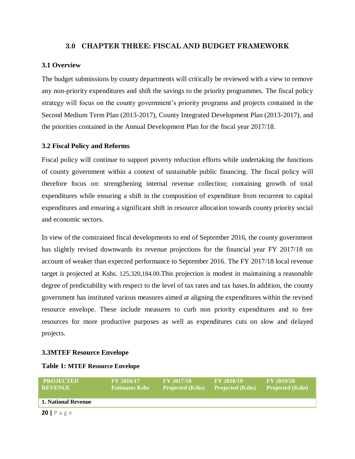#### **3.0 CHAPTER THREE: FISCAL AND BUDGET FRAMEWORK**

#### <span id="page-26-1"></span><span id="page-26-0"></span>**3.1 Overview**

The budget submissions by county departments will critically be reviewed with a view to remove any non-priority expenditures and shift the savings to the priority programmes. The fiscal policy strategy will focus on the county government's priority programs and projects contained in the Second Medium Term Plan (2013-2017), County Integrated Development Plan (2013-2017), and the priorities contained in the Annual Development Plan for the fiscal year 2017/18.

#### <span id="page-26-2"></span>**3.2 Fiscal Policy and Reforms**

Fiscal policy will continue to support poverty reduction efforts while undertaking the functions of county government within a context of sustainable public financing. The fiscal policy will therefore focus on: strengthening internal revenue collection; containing growth of total expenditures while ensuring a shift in the composition of expenditure from recurrent to capital expenditures and ensuring a significant shift in resource allocation towards county priority social and economic sectors.

In view of the constrained fiscal developments to end of September 2016, the county government has slightly revised downwards its revenue projections for the financial year FY 2017/18 on account of weaker than expected performance to September 2016. The FY 2017/18 local revenue target is projected at Kshs. 125,320,184.00.This projection is modest in maintaining a reasonable degree of predictability with respect to the level of tax rates and tax bases.In addition, the county government has instituted various measures aimed at aligning the expenditures within the revised resource envelope. These include measures to curb non priority expenditures and to free resources for more productive purposes as well as expenditures cuts on slow and delayed projects.

#### <span id="page-26-3"></span>**3.3MTEF Resource Envelope**

#### **Table 1: MTEF Resource Envelope**

| <b>PROJECTED</b><br><b>REVENUE</b> | <b>FY 2016/17</b><br><b>Estimates Kshs</b> | <b>FY 2017/18</b><br>Projected $(Kshs)$ | <b>FY 2018/19</b><br><b>Projected (Kshs)</b> | <b>FY 2019/20</b><br>Projected (Kshs) |  |  |
|------------------------------------|--------------------------------------------|-----------------------------------------|----------------------------------------------|---------------------------------------|--|--|
| 1. National Revenue                |                                            |                                         |                                              |                                       |  |  |
| $20$   Page                        |                                            |                                         |                                              |                                       |  |  |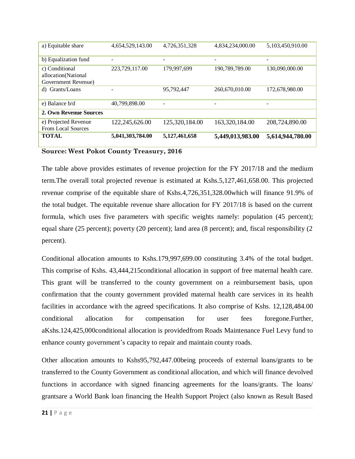| a) Equitable share                                           | 4,654,529,143.00 | 4,726,351,328            | 4,834,234,000.00 | 5,103,450,910.00 |
|--------------------------------------------------------------|------------------|--------------------------|------------------|------------------|
| b) Equalization fund                                         |                  | $\overline{\phantom{a}}$ | -                | ۰                |
| c) Conditional<br>allocation(National<br>Government Revenue) | 223,729,117.00   | 179,997,699              | 190,789,789.00   | 130,090,000.00   |
| d) Grants/Loans                                              |                  | 95,792,447               | 260,670,010.00   | 172,678,980.00   |
| e) Balance b/d                                               | 40,799,898.00    |                          |                  |                  |
| 2. Own Revenue Sources                                       |                  |                          |                  |                  |
| e) Projected Revenue<br><b>From Local Sources</b>            | 122,245,626.00   | 125,320,184.00           | 163,320,184.00   | 208,724,890.00   |
| <b>TOTAL</b>                                                 | 5,041,303,784.00 | 5,127,461,658            | 5,449,013,983.00 | 5,614,944,780.00 |

#### **Source: West Pokot County Treasury, 2016**

The table above provides estimates of revenue projection for the FY 2017/18 and the medium term.The overall total projected revenue is estimated at Kshs.5,127,461,658.00. This projected revenue comprise of the equitable share of Kshs.4,726,351,328.00which will finance 91.9% of the total budget. The equitable revenue share allocation for FY 2017/18 is based on the current formula, which uses five parameters with specific weights namely: population (45 percent); equal share (25 percent); poverty (20 percent); land area (8 percent); and, fiscal responsibility (2 percent).

Conditional allocation amounts to Kshs.179,997,699.00 constituting 3.4% of the total budget. This comprise of Kshs. 43,444,215conditional allocation in support of free maternal health care. This grant will be transferred to the county government on a reimbursement basis, upon confirmation that the county government provided maternal health care services in its health facilities in accordance with the agreed specifications. It also comprise of Kshs. 12,128,484.00 conditional allocation for compensation for user fees foregone.Further, aKshs.124,425,000conditional allocation is providedfrom Roads Maintenance Fuel Levy fund to enhance county government's capacity to repair and maintain county roads.

Other allocation amounts to Kshs95,792,447.00being proceeds of external loans/grants to be transferred to the County Government as conditional allocation, and which will finance devolved functions in accordance with signed financing agreements for the loans/grants. The loans/ grantsare a World Bank loan financing the Health Support Project (also known as Result Based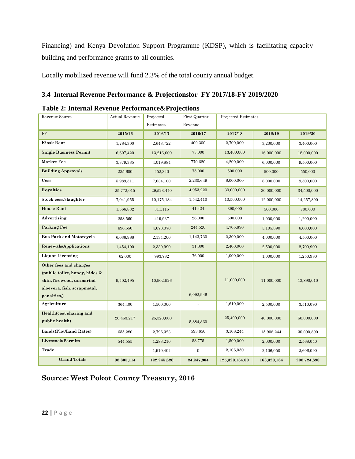Financing) and Kenya Devolution Support Programme (KDSP), which is facilitating capacity building and performance grants to all counties.

Locally mobilized revenue will fund 2.3% of the total county annual budget.

# <span id="page-28-0"></span>**3.4 Internal Revenue Performance & Projectionsfor FY 2017/18-FY 2019/2020**

| Revenue Source                                                                                                                      | <b>Actual Revenue</b> | Projected   | First Quarter    | Projected Estimates |             |             |
|-------------------------------------------------------------------------------------------------------------------------------------|-----------------------|-------------|------------------|---------------------|-------------|-------------|
|                                                                                                                                     |                       | Estimates   | Revenue          |                     |             |             |
| ${\rm FY}$                                                                                                                          | 2015/16               | 2016/17     | 2016/17          | 2017/18             | 2018/19     | 2019/20     |
| <b>Kiosk Rent</b>                                                                                                                   | 1,784,300             | 2,643,722   | 409,300          | 2,700,000           | 3,200,000   | 3,400,000   |
| <b>Single Business Permit</b>                                                                                                       | 6,607,420             | 13,216,000  | 73,000           | 13,400,000          | 16,000,000  | 18,000,000  |
| <b>Market Fee</b>                                                                                                                   | 3,379,335             | 4,019,884   | 770,620          | 4,200,000           | 6,000,000   | 9,500,000   |
| <b>Building Approvals</b>                                                                                                           | 235,600               | 452,340     | 75,000           | 500,000             | 500,000     | 550,000     |
| Cess                                                                                                                                | 5,989,511             | 7,634,100   | 2,230,649        | 8,000,000           | 8,000,000   | 9,500,000   |
| <b>Royalties</b>                                                                                                                    | 25,772,015            | 29,523,440  | 4,953,220        | 30,000,000          | 30,000,000  | 34,500,000  |
| Stock cess/slaughter                                                                                                                | 7,041,955             | 10,175,184  | 1,542,410        | 10,500,000          | 12,000,000  | 14,257,890  |
| <b>House Rent</b>                                                                                                                   | 1,566,832             | 311,115     | 41,424           | 390,000             | 500,000     | 700,000     |
| Advertising                                                                                                                         | 258,560               | 419,937     | 26,000           | 500,000             |             | 1,200,000   |
| <b>Parking Fee</b>                                                                                                                  | 696,550               | 4,678,070   | 244,520          | 4,705,890           | 5,105,890   | 6,000,000   |
| <b>Bus Park and Motorcycle</b>                                                                                                      | 6,036,988             | 2,134,200   | 1,143,730        | 2,300,000           | 4,000,000   | 4,500,000   |
| <b>Renewals/Applications</b>                                                                                                        | 1,454,100             | 2,330,990   | 31,800           | 2,400,000           | 2,500,000   | 2,700,900   |
| <b>Liquor Licensing</b>                                                                                                             | 62,000                | 993,782     | 76,000           | 1,000,000           | 1,000,000   | 1,250,980   |
| Other fees and charges<br>(public toilet, honey, hides &<br>skin, firewood, tarmarind<br>aloevera, fish, scrapmetal,<br>penalties,) | 9,402,495             | 10,902,926  | 6,092,946        | 11,000,000          | 11,000,000  | 13,890,010  |
| Agriculture                                                                                                                         | 364,400               | 1,500,000   |                  | 1,610,000           | 2,500,000   | 3,510,090   |
| Health(cost sharing and<br>public health)                                                                                           | 26,453,217            | 25,320,000  | 5,884,860        | 25,400,000          | 40,000,000  | 50,000,000  |
| Lands(Plot/Land Rates)                                                                                                              | 655,280               | 2,796,323   | 593,650          | 3,108,244           | 15,908,244  | 30,090,890  |
| Livestock/Permits                                                                                                                   | 544,555               | 1,283,210   | 58,775           | 1,500,000           | 2,000,000   | 2,568,040   |
| Trade                                                                                                                               |                       | 1,910,404   | $\boldsymbol{0}$ | 2,106,050           | 2,106,050   | 2,606,090   |
| <b>Grand Totals</b>                                                                                                                 | 98,305,114            | 122,245,626 | 24,247,904       | 125,320,164.00      | 163,320,184 | 208,724,890 |

## **Table 2: Internal Revenue Performance&Projections**

# **Source: West Pokot County Treasury, 2016**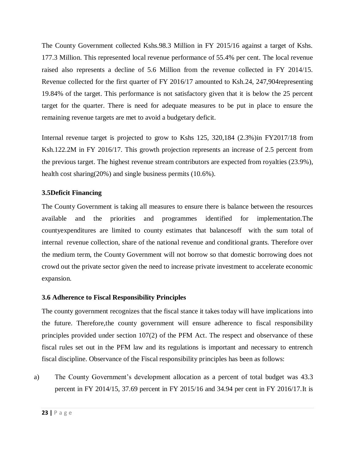The County Government collected Kshs.98.3 Million in FY 2015/16 against a target of Kshs. 177.3 Million. This represented local revenue performance of 55.4% per cent. The local revenue raised also represents a decline of 5.6 Million from the revenue collected in FY 2014/15. Revenue collected for the first quarter of FY 2016/17 amounted to Ksh.24, 247,904representing 19.84% of the target. This performance is not satisfactory given that it is below the 25 percent target for the quarter. There is need for adequate measures to be put in place to ensure the remaining revenue targets are met to avoid a budgetary deficit.

Internal revenue target is projected to grow to Kshs 125, 320,184 (2.3%)in FY2017/18 from Ksh.122.2M in FY 2016/17. This growth projection represents an increase of 2.5 percent from the previous target. The highest revenue stream contributors are expected from royalties (23.9%), health cost sharing(20%) and single business permits (10.6%).

## <span id="page-29-0"></span>**3.5Deficit Financing**

The County Government is taking all measures to ensure there is balance between the resources available and the priorities and programmes identified for implementation.The countyexpenditures are limited to county estimates that balancesoff with the sum total of internal revenue collection, share of the national revenue and conditional grants. Therefore over the medium term, the County Government will not borrow so that domestic borrowing does not crowd out the private sector given the need to increase private investment to accelerate economic expansion.

## <span id="page-29-1"></span>**3.6 Adherence to Fiscal Responsibility Principles**

The county government recognizes that the fiscal stance it takes today will have implications into the future. Therefore,the county government will ensure adherence to fiscal responsibility principles provided under section 107(2) of the PFM Act. The respect and observance of these fiscal rules set out in the PFM law and its regulations is important and necessary to entrench fiscal discipline. Observance of the Fiscal responsibility principles has been as follows:

a) The County Government's development allocation as a percent of total budget was 43.3 percent in FY 2014/15, 37.69 percent in FY 2015/16 and 34.94 per cent in FY 2016/17.It is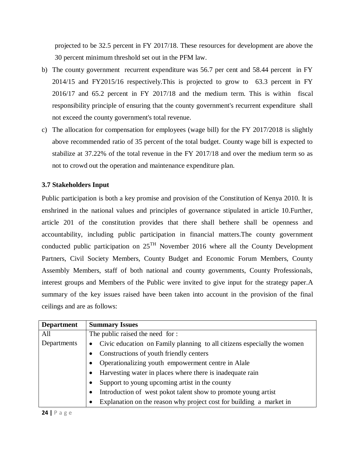projected to be 32.5 percent in FY 2017/18. These resources for development are above the 30 percent minimum threshold set out in the PFM law.

- b) The county government recurrent expenditure was 56.7 per cent and 58.44 percent in FY 2014/15 and FY2015/16 respectively.This is projected to grow to 63.3 percent in FY 2016/17 and 65.2 percent in FY 2017/18 and the medium term. This is within fiscal responsibility principle of ensuring that the county government's recurrent expenditure shall not exceed the county government's total revenue.
- c) The allocation for compensation for employees (wage bill) for the FY 2017/2018 is slightly above recommended ratio of 35 percent of the total budget. County wage bill is expected to stabilize at 37.22% of the total revenue in the FY 2017/18 and over the medium term so as not to crowd out the operation and maintenance expenditure plan.

## <span id="page-30-0"></span>**3.7 Stakeholders Input**

Public participation is both a key promise and provision of the Constitution of Kenya 2010. It is enshrined in the national values and principles of governance stipulated in article 10.Further, article 201 of the constitution provides that there shall bethere shall be openness and accountability, including public participation in financial matters.The county government conducted public participation on  $25^{TH}$  November 2016 where all the County Development Partners, Civil Society Members, County Budget and Economic Forum Members, County Assembly Members, staff of both national and county governments, County Professionals, interest groups and Members of the Public were invited to give input for the strategy paper.A summary of the key issues raised have been taken into account in the provision of the final ceilings and are as follows:

| <b>Department</b> | <b>Summary Issues</b>                                                            |  |  |  |  |  |  |  |  |
|-------------------|----------------------------------------------------------------------------------|--|--|--|--|--|--|--|--|
| All               | The public raised the need for :                                                 |  |  |  |  |  |  |  |  |
| Departments       | • Civic education on Family planning to all citizens especially the women        |  |  |  |  |  |  |  |  |
|                   | Constructions of youth friendly centers                                          |  |  |  |  |  |  |  |  |
|                   | Operationalizing youth empowerment centre in Alale                               |  |  |  |  |  |  |  |  |
|                   | Harvesting water in places where there is inadequate rain<br>$\bullet$           |  |  |  |  |  |  |  |  |
|                   | Support to young upcoming artist in the county                                   |  |  |  |  |  |  |  |  |
|                   | Introduction of west pokot talent show to promote young artist<br>$\bullet$      |  |  |  |  |  |  |  |  |
|                   | Explanation on the reason why project cost for building a market in<br>$\bullet$ |  |  |  |  |  |  |  |  |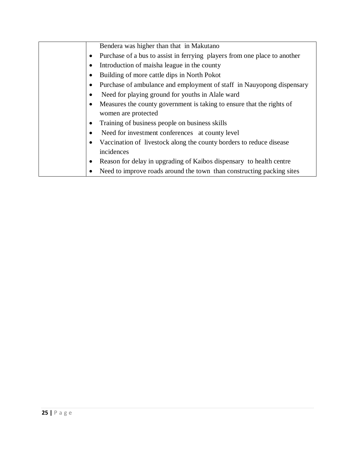| Bendera was higher than that in Makutano                                  |
|---------------------------------------------------------------------------|
| Purchase of a bus to assist in ferrying players from one place to another |
| Introduction of maisha league in the county                               |
| Building of more cattle dips in North Pokot                               |
| Purchase of ambulance and employment of staff in Nauyopong dispensary     |
| Need for playing ground for youths in Alale ward<br>$\bullet$             |
| Measures the county government is taking to ensure that the rights of     |
| women are protected                                                       |
| Training of business people on business skills<br>$\bullet$               |
| Need for investment conferences at county level                           |
| Vaccination of livestock along the county borders to reduce disease       |
| incidences                                                                |
| Reason for delay in upgrading of Kaibos dispensary to health centre       |
| Need to improve roads around the town than constructing packing sites     |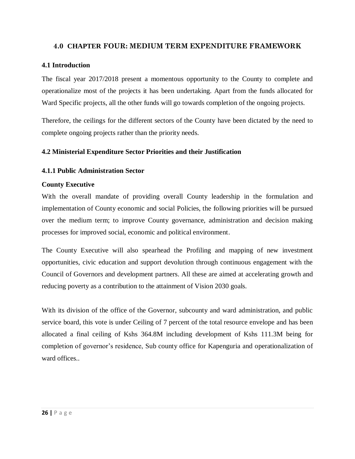# <span id="page-32-0"></span>**4.0 CHAPTER FOUR: MEDIUM TERM EXPENDITURE FRAMEWORK**

# <span id="page-32-1"></span>**4.1 Introduction**

The fiscal year 2017/2018 present a momentous opportunity to the County to complete and operationalize most of the projects it has been undertaking. Apart from the funds allocated for Ward Specific projects, all the other funds will go towards completion of the ongoing projects.

Therefore, the ceilings for the different sectors of the County have been dictated by the need to complete ongoing projects rather than the priority needs.

# <span id="page-32-2"></span>**4.2 Ministerial Expenditure Sector Priorities and their Justification**

## <span id="page-32-3"></span>**4.1.1 Public Administration Sector**

## **County Executive**

With the overall mandate of providing overall County leadership in the formulation and implementation of County economic and social Policies, the following priorities will be pursued over the medium term; to improve County governance, administration and decision making processes for improved social, economic and political environment.

The County Executive will also spearhead the Profiling and mapping of new investment opportunities, civic education and support devolution through continuous engagement with the Council of Governors and development partners. All these are aimed at accelerating growth and reducing poverty as a contribution to the attainment of Vision 2030 goals.

With its division of the office of the Governor, subcounty and ward administration, and public service board, this vote is under Ceiling of 7 percent of the total resource envelope and has been allocated a final ceiling of Kshs 364.8M including development of Kshs 111.3M being for completion of governor's residence, Sub county office for Kapenguria and operationalization of ward offices..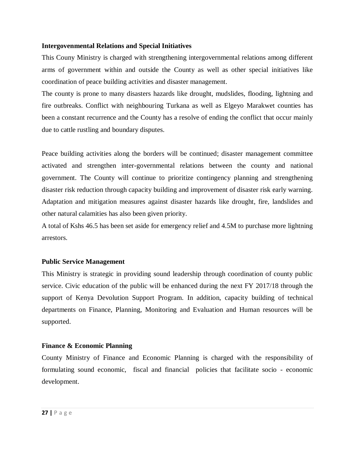#### **Intergovenmental Relations and Special Initiatives**

This Couny Ministry is charged with strengthening intergovernmental relations among different arms of government within and outside the County as well as other special initiatives like coordination of peace building activities and disaster management.

The county is prone to many disasters hazards like drought, mudslides, flooding, lightning and fire outbreaks. Conflict with neighbouring Turkana as well as Elgeyo Marakwet counties has been a constant recurrence and the County has a resolve of ending the conflict that occur mainly due to cattle rustling and boundary disputes.

Peace building activities along the borders will be continued; disaster management committee activated and strengthen inter-governmental relations between the county and national government. The County will continue to prioritize contingency planning and strengthening disaster risk reduction through capacity building and improvement of disaster risk early warning. Adaptation and mitigation measures against disaster hazards like drought, fire, landslides and other natural calamities has also been given priority.

A total of Kshs 46.5 has been set aside for emergency relief and 4.5M to purchase more lightning arrestors.

#### **Public Service Management**

This Ministry is strategic in providing sound leadership through coordination of county public service. Civic education of the public will be enhanced during the next FY 2017/18 through the support of Kenya Devolution Support Program. In addition, capacity building of technical departments on Finance, Planning, Monitoring and Evaluation and Human resources will be supported.

## **Finance & Economic Planning**

County Ministry of Finance and Economic Planning is charged with the responsibility of formulating sound economic, fiscal and financial policies that facilitate socio - economic development.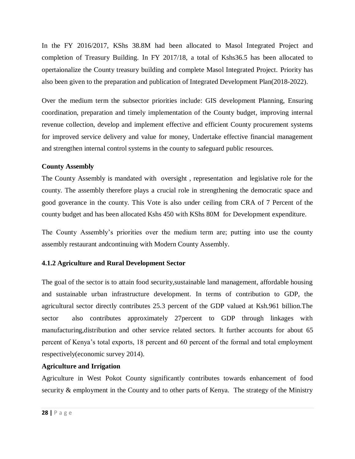In the FY 2016/2017, KShs 38.8M had been allocated to Masol Integrated Project and completion of Treasury Building. In FY 2017/18, a total of Kshs36.5 has been allocated to opertaionalize the County treasury building and complete Masol Integrated Project. Priority has also been given to the preparation and publication of Integrated Development Plan(2018-2022).

Over the medium term the subsector priorities include: GIS development Planning, Ensuring coordination, preparation and timely implementation of the County budget, improving internal revenue collection, develop and implement effective and efficient County procurement systems for improved service delivery and value for money, Undertake effective financial management and strengthen internal control systems in the county to safeguard public resources.

## **County Assembly**

The County Assembly is mandated with oversight , representation and legislative role for the county. The assembly therefore plays a crucial role in strengthening the democratic space and good goverance in the county. This Vote is also under ceiling from CRA of 7 Percent of the county budget and has been allocated Kshs 450 with KShs 80M for Development expenditure.

The County Assembly's priorities over the medium term are; putting into use the county assembly restaurant andcontinuing with Modern County Assembly.

## <span id="page-34-0"></span>**4.1.2 Agriculture and Rural Development Sector**

The goal of the sector is to attain food security,sustainable land management, affordable housing and sustainable urban infrastructure development. In terms of contribution to GDP, the agricultural sector directly contributes 25.3 percent of the GDP valued at Ksh.961 billion.The sector also contributes approximately 27percent to GDP through linkages with manufacturing,distribution and other service related sectors. It further accounts for about 65 percent of Kenya's total exports, 18 percent and 60 percent of the formal and total employment respectively(economic survey 2014).

## **Agriculture and Irrigation**

Agriculture in West Pokot County significantly contributes towards enhancement of food security & employment in the County and to other parts of Kenya. The strategy of the Ministry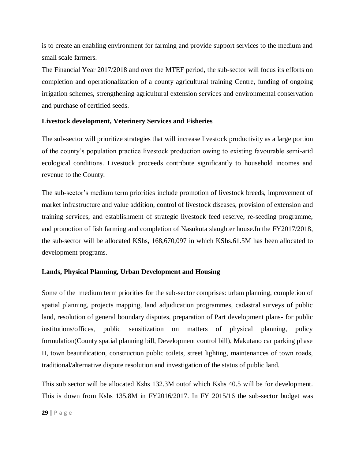is to create an enabling environment for farming and provide support services to the medium and small scale farmers.

The Financial Year 2017/2018 and over the MTEF period, the sub-sector will focus its efforts on completion and operationalization of a county agricultural training Centre, funding of ongoing irrigation schemes, strengthening agricultural extension services and environmental conservation and purchase of certified seeds.

# **Livestock development, Veterinery Services and Fisheries**

The sub-sector will prioritize strategies that will increase livestock productivity as a large portion of the county's population practice livestock production owing to existing favourable semi-arid ecological conditions. Livestock proceeds contribute significantly to household incomes and revenue to the County.

The sub-sector's medium term priorities include promotion of livestock breeds, improvement of market infrastructure and value addition, control of livestock diseases, provision of extension and training services, and establishment of strategic livestock feed reserve, re-seeding programme, and promotion of fish farming and completion of Nasukuta slaughter house.In the FY2017/2018, the sub-sector will be allocated KShs, 168,670,097 in which KShs.61.5M has been allocated to development programs.

## **Lands, Physical Planning, Urban Development and Housing**

Some of the medium term priorities for the sub-sector comprises: urban planning, completion of spatial planning, projects mapping, land adjudication programmes, cadastral surveys of public land, resolution of general boundary disputes, preparation of Part development plans- for public institutions/offices, public sensitization on matters of physical planning, policy formulation(County spatial planning bill, Development control bill), Makutano car parking phase II, town beautification, construction public toilets, street lighting, maintenances of town roads, traditional/alternative dispute resolution and investigation of the status of public land.

This sub sector will be allocated Kshs 132.3M outof which Kshs 40.5 will be for development. This is down from Kshs 135.8M in FY2016/2017. In FY 2015/16 the sub-sector budget was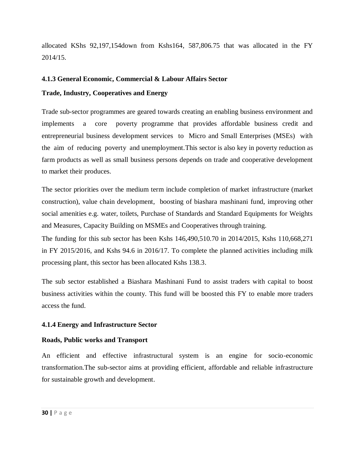allocated KShs 92,197,154down from Kshs164, 587,806.75 that was allocated in the FY 2014/15.

#### <span id="page-36-0"></span>**4.1.3 General Economic, Commercial & Labour Affairs Sector**

#### **Trade, Industry, Cooperatives and Energy**

Trade sub-sector programmes are geared towards creating an enabling business environment and implements a core poverty programme that provides affordable business credit and entrepreneurial business development services to Micro and Small Enterprises (MSEs) with the aim of reducing poverty and unemployment.This sector is also key in poverty reduction as farm products as well as small business persons depends on trade and cooperative development to market their produces.

The sector priorities over the medium term include completion of market infrastructure (market construction), value chain development, boosting of biashara mashinani fund, improving other social amenities e.g. water, toilets, Purchase of Standards and Standard Equipments for Weights and Measures, Capacity Building on MSMEs and Cooperatives through training.

The funding for this sub sector has been Kshs 146,490,510.70 in 2014/2015, Kshs 110,668,271 in FY 2015/2016, and Kshs 94.6 in 2016/17. To complete the planned activities including milk processing plant, this sector has been allocated Kshs 138.3.

The sub sector established a Biashara Mashinani Fund to assist traders with capital to boost business activities within the county. This fund will be boosted this FY to enable more traders access the fund.

#### <span id="page-36-1"></span>**4.1.4 Energy and Infrastructure Sector**

#### **Roads, Public works and Transport**

An efficient and effective infrastructural system is an engine for socio-economic transformation.The sub-sector aims at providing efficient, affordable and reliable infrastructure for sustainable growth and development.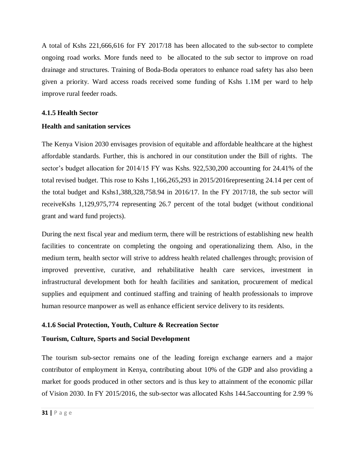A total of Kshs 221,666,616 for FY 2017/18 has been allocated to the sub-sector to complete ongoing road works. More funds need to be allocated to the sub sector to improve on road drainage and structures. Training of Boda-Boda operators to enhance road safety has also been given a priority. Ward access roads received some funding of Kshs 1.1M per ward to help improve rural feeder roads.

#### <span id="page-37-0"></span>**4.1.5 Health Sector**

#### **Health and sanitation services**

The Kenya Vision 2030 envisages provision of equitable and affordable healthcare at the highest affordable standards. Further, this is anchored in our constitution under the Bill of rights. The sector's budget allocation for 2014/15 FY was Kshs. 922,530,200 accounting for 24.41% of the total revised budget. This rose to Kshs 1,166,265,293 in 2015/2016representing 24.14 per cent of the total budget and Kshs1,388,328,758.94 in 2016/17. In the FY 2017/18, the sub sector will receiveKshs 1,129,975,774 representing 26.7 percent of the total budget (without conditional grant and ward fund projects).

During the next fiscal year and medium term, there will be restrictions of establishing new health facilities to concentrate on completing the ongoing and operationalizing them. Also, in the medium term, health sector will strive to address health related challenges through; provision of improved preventive, curative, and rehabilitative health care services, investment in infrastructural development both for health facilities and sanitation, procurement of medical supplies and equipment and continued staffing and training of health professionals to improve human resource manpower as well as enhance efficient service delivery to its residents.

#### <span id="page-37-1"></span>**4.1.6 Social Protection, Youth, Culture & Recreation Sector**

#### **Tourism, Culture, Sports and Social Development**

The tourism sub-sector remains one of the leading foreign exchange earners and a major contributor of employment in Kenya, contributing about 10% of the GDP and also providing a market for goods produced in other sectors and is thus key to attainment of the economic pillar of Vision 2030. In FY 2015/2016, the sub-sector was allocated Kshs 144.5accounting for 2.99 %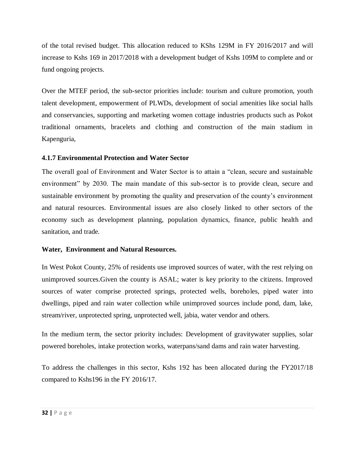of the total revised budget. This allocation reduced to KShs 129M in FY 2016/2017 and will increase to Kshs 169 in 2017/2018 with a development budget of Kshs 109M to complete and or fund ongoing projects.

Over the MTEF period, the sub-sector priorities include: tourism and culture promotion, youth talent development, empowerment of PLWDs, development of social amenities like social halls and conservancies, supporting and marketing women cottage industries products such as Pokot traditional ornaments, bracelets and clothing and construction of the main stadium in Kapenguria,

## <span id="page-38-0"></span>**4.1.7 Environmental Protection and Water Sector**

The overall goal of Environment and Water Sector is to attain a "clean, secure and sustainable environment" by 2030. The main mandate of this sub-sector is to provide clean, secure and sustainable environment by promoting the quality and preservation of the county's environment and natural resources. Environmental issues are also closely linked to other sectors of the economy such as development planning, population dynamics, finance, public health and sanitation, and trade.

## **Water, Environment and Natural Resources.**

In West Pokot County, 25% of residents use improved sources of water, with the rest relying on unimproved sources.Given the county is ASAL; water is key priority to the citizens. Improved sources of water comprise protected springs, protected wells, boreholes, piped water into dwellings, piped and rain water collection while unimproved sources include pond, dam, lake, stream/river, unprotected spring, unprotected well, jabia, water vendor and others.

In the medium term, the sector priority includes: Development of gravitywater supplies, solar powered boreholes, intake protection works, waterpans/sand dams and rain water harvesting.

To address the challenges in this sector, Kshs 192 has been allocated during the FY2017/18 compared to Kshs196 in the FY 2016/17.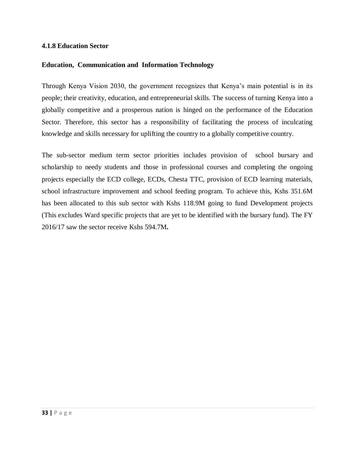#### <span id="page-39-0"></span>**4.1.8 Education Sector**

#### **Education, Communication and Information Technology**

Through Kenya Vision 2030, the government recognizes that Kenya's main potential is in its people; their creativity, education, and entrepreneurial skills. The success of turning Kenya into a globally competitive and a prosperous nation is hinged on the performance of the Education Sector. Therefore, this sector has a responsibility of facilitating the process of inculcating knowledge and skills necessary for uplifting the country to a globally competitive country.

The sub-sector medium term sector priorities includes provision of school bursary and scholarship to needy students and those in professional courses and completing the ongoing projects especially the ECD college, ECDs, Chesta TTC, provision of ECD learning materials, school infrastructure improvement and school feeding program. To achieve this, Kshs 351.6M has been allocated to this sub sector with Kshs 118.9M going to fund Development projects (This excludes Ward specific projects that are yet to be identified with the bursary fund). The FY 2016/17 saw the sector receive Kshs 594.7M**.**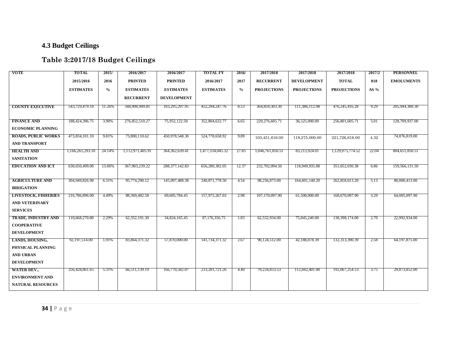# **4.3 Budget Ceilings**

# **Table 3:2017/18 Budget Ceilings**

<span id="page-40-0"></span>

| <b>VOTE</b>                 | <b>TOTAL</b>     | 2015/         | 2016/2017        | 2016/2017          | <b>TOTAL FY</b>  | 2016/         | 2017/2018          | 2017/2018          | 2017/2018          | 2017/2 | <b>PERSONNEL</b>  |
|-----------------------------|------------------|---------------|------------------|--------------------|------------------|---------------|--------------------|--------------------|--------------------|--------|-------------------|
|                             | 2015/2016        | 2016          | <b>PRINTED</b>   | <b>PRINTED</b>     | 2016/2017        | 2017          | <b>RECURRENT</b>   | <b>DEVELOPMENT</b> | <b>TOTAL</b>       | 018    | <b>EMOLUMENTS</b> |
|                             | <b>ESTIMATES</b> | $\frac{6}{6}$ | <b>ESTIMATES</b> | <b>ESTIMATES</b>   | <b>ESTIMATES</b> | $\frac{0}{0}$ | <b>PROJECTIONS</b> | <b>PROJECTIONS</b> | <b>PROJECTIONS</b> | AS %   |                   |
|                             |                  |               | <b>RECURRENT</b> | <b>DEVELOPMENT</b> |                  |               |                    |                    |                    |        |                   |
|                             |                  |               |                  |                    |                  |               |                    |                    |                    |        |                   |
| <b>COUNTY EXECUTIVE</b>     | 543,729,479.10   | 11.26%        | 348,998,949.81   | 103,295,297.95     | 452,294,247.76   | 8.53          | 364,859,303.30     | 111,386,112.98     | 476, 245, 416. 28  | 9.29   | 205,944,300.30    |
| <b>FINANCE AND</b>          | 188,424,396.75   | 3.90%         | 276,852,510.27   | 75,952,122.50      | 352,804,632.77   | 6.65          | 220, 276, 605. 71  | 36,525,000.00      | 256,801,605.71     | 5.01   | 128,709,937.00    |
| <b>ECONOMIC PLANNING</b>    |                  |               |                  |                    |                  |               |                    |                    |                    |        |                   |
| <b>ROADS, PUBLIC WORKS</b>  | 473,834,101.10   | 9.81%         | 73,800,110.62    | 450,978,548.30     | 524,778,658.92   | 9.89          | 103,451,616.00     | 118,275,000.00     | 221,726,616.00     | 4.32   | 74,876,819.00     |
| <b>AND TRANSPORT</b>        |                  |               |                  |                    |                  |               |                    |                    |                    |        |                   |
| <b>HEALTH AND</b>           | 1,166,265,293.10 | 24.14%        | 1,112,971,405.91 | 364, 362, 639.41   | 1,477,334,045.32 | 27.85         | 1,046,761,850.51   | 83,213,924.01      | 1,129,975,774.52   | 22.04  | 804,651,850.51    |
| <b>SANITATION</b>           |                  |               |                  |                    |                  |               |                    |                    |                    |        |                   |
| <b>EDUCATION AND ICT</b>    | 630,650,499.00   | 13.06%        | 367,903,239.22   | 288, 377, 142.83   | 656,280,382.05   | 12.37         | 232,702,094.50     | 118,949,935.88     | 351,652,030.38     | 6.86   | 159,566,131.50    |
|                             |                  |               |                  |                    |                  |               |                    |                    |                    |        |                   |
| <b>AGRICULTURE AND</b>      | 304,949,826.90   | 6.31%         | 95,774,290.12    | 145,097,488.38     | 240,871,778.50   | 4.54          | 98,256,873.00      | 164,601,140.20     | 262,858,013.20     | 5.13   | 80,000,413.00     |
| <b>IRRIGATION</b>           |                  |               |                  |                    |                  |               |                    |                    |                    |        |                   |
| <b>LIVESTOCK, FISHERIES</b> | 216,786,896.00   | 4.49%         | 88, 369, 482. 58 | 69,605,784.45      | 157,975,267.03   | 2.98          | 107,170,097.90     | 61,500,000.00      | 168,670,097.90     | 3.29   | 64,005,097.90     |
| <b>AND VETERINARY</b>       |                  |               |                  |                    |                  |               |                    |                    |                    |        |                   |
| <b>SERVICES</b>             |                  |               |                  |                    |                  |               |                    |                    |                    |        |                   |
| TRADE, INDUSTRY AND         | 110,668,270.80   | 2.29%         | 62, 352, 191. 30 | 34,824,165.45      | 97,176,356.75    | 1.83          | 62,552,934.00      | 75,845,240.00      | 138,398,174.00     | 2.70   | 22,992,934.00     |
| <b>COOPERATIVE</b>          |                  |               |                  |                    |                  |               |                    |                    |                    |        |                   |
| <b>DEVELOPMENT</b>          |                  |               |                  |                    |                  |               |                    |                    |                    |        |                   |
| LANDS, HOUSING,             | 92,197,514.00    | 1.91%         | 83,864,371.32    | 57,870,000.00      | 141,734,371.32   | 2.67          | 90,124,512.00      | 42, 188, 878. 39   | 132,313,390.39     | 2.58   | 64, 197, 875.00   |
| PHYSICAL PLANNING           |                  |               |                  |                    |                  |               |                    |                    |                    |        |                   |
| <b>AND URBAN</b>            |                  |               |                  |                    |                  |               |                    |                    |                    |        |                   |
| <b>DEVELOPMENT</b>          |                  |               |                  |                    |                  |               |                    |                    |                    |        |                   |
| <b>WATER DEV.,</b>          | 256,428,861.65   | 5.31%         | 66,511,139.19    | 166,770,582.07     | 233,281,721.26   | 4.40          | 79,224,853.53      | 112,842,401.00     | 192,067,254.53     | 3.75   | 29,873,852.00     |
| <b>ENVIRONMENT AND</b>      |                  |               |                  |                    |                  |               |                    |                    |                    |        |                   |
| <b>NATURAL RESOURCES</b>    |                  |               |                  |                    |                  |               |                    |                    |                    |        |                   |
|                             |                  |               |                  |                    |                  |               |                    |                    |                    |        |                   |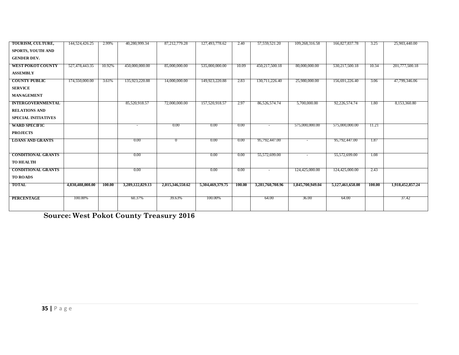| TOURISM, CULTURE,          | 144,524,426.25   | 2.99%  | 40,280,999.34    | 87,212,779.28    | 127,493,778.62   | 2.40   | 57,559,521.20    | 109,268,316.58   | 166,827,837.78   | 3.25   | 25,903,440.00    |
|----------------------------|------------------|--------|------------------|------------------|------------------|--------|------------------|------------------|------------------|--------|------------------|
| SPORTS, YOUTH AND          |                  |        |                  |                  |                  |        |                  |                  |                  |        |                  |
| <b>GENDER DEV.</b>         |                  |        |                  |                  |                  |        |                  |                  |                  |        |                  |
| <b>WEST POKOT COUNTY</b>   | 527,478,443.35   | 10.92% | 450,000,000.00   | 85,000,000.00    | 535,000,000.00   | 10.09  | 450,217,500.18   | 80,000,000.00    | 530,217,500.18   | 10.34  | 201,777,500.18   |
| <b>ASSEMBLY</b>            |                  |        |                  |                  |                  |        |                  |                  |                  |        |                  |
| <b>COUNTY PUBLIC</b>       | 174,550,000.00   | 3.61%  | 135,923,220.88   | 14,000,000.00    | 149,923,220.88   | 2.83   | 130,711,226.40   | 25,980,000.00    | 156,691,226.40   | 3.06   | 47,799,346.06    |
|                            |                  |        |                  |                  |                  |        |                  |                  |                  |        |                  |
| <b>SERVICE</b>             |                  |        |                  |                  |                  |        |                  |                  |                  |        |                  |
| <b>MANAGEMENT</b>          |                  |        |                  |                  |                  |        |                  |                  |                  |        |                  |
| <b>INTERGOVERNMENTAL</b>   |                  |        | 85,520,918.57    | 72,000,000.00    | 157,520,918.57   | 2.97   | 86,526,574.74    | 5,700,000.00     | 92,226,574.74    | 1.80   | 8,153,360.80     |
| <b>RELATIONS AND</b>       |                  |        |                  |                  |                  |        |                  |                  |                  |        |                  |
| <b>SPECIAL INITIATIVES</b> |                  |        |                  |                  |                  |        |                  |                  |                  |        |                  |
| <b>WARD SPECIFIC</b>       |                  |        |                  | $0.00\,$         | $0.00\,$         | 0.00   |                  | 575,000,000.00   | 575,000,000.00   | 11.21  |                  |
| <b>PROJECTS</b>            |                  |        |                  |                  |                  |        |                  |                  |                  |        |                  |
| <b>LOANS AND GRANTS</b>    |                  |        | 0.00             | $\bf{0}$         | 0.00             | 0.00   | 95,792,447.00    |                  | 95,792,447.00    | 1.87   |                  |
|                            |                  |        |                  |                  |                  |        |                  |                  |                  |        |                  |
| <b>CONDITIONAL GRANTS</b>  |                  |        | 0.00             |                  | 0.00             | 0.00   | 55,572,699.00    |                  | 55,572,699.00    | 1.08   |                  |
| <b>TO HEALTH</b>           |                  |        |                  |                  |                  |        |                  |                  |                  |        |                  |
| <b>CONDITIONAL GRANTS</b>  |                  |        | 0.00             |                  | 0.00             | 0.00   | $\sim$           | 124,425,000.00   | 124,425,000.00   | 2.43   |                  |
| <b>TO ROADS</b>            |                  |        |                  |                  |                  |        |                  |                  |                  |        |                  |
| <b>TOTAL</b>               | 4,830,488,008,00 | 100.00 | 3,289,122,829.13 | 2,015,346,550.62 | 5,304,469,379.75 | 100.00 | 3,281,760,708.96 | 1,845,700,949.04 | 5,127,461,658.00 | 100.00 | 1,918,452,857,24 |
|                            |                  |        |                  |                  |                  |        |                  |                  |                  |        |                  |
| PERCENTAGE                 | 100.00%          |        | 60.37%           | 39.63%           | 100.00%          |        | 64.00            | 36.00            | 64.00            |        | 37.42            |
|                            |                  |        |                  |                  |                  |        |                  |                  |                  |        |                  |

**Source: West Pokot County Treasury 2016**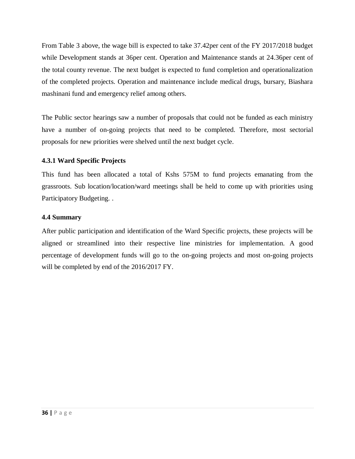From Table 3 above, the wage bill is expected to take 37.42per cent of the FY 2017/2018 budget while Development stands at 36per cent. Operation and Maintenance stands at 24.36per cent of the total county revenue. The next budget is expected to fund completion and operationalization of the completed projects. Operation and maintenance include medical drugs, bursary, Biashara mashinani fund and emergency relief among others.

The Public sector hearings saw a number of proposals that could not be funded as each ministry have a number of on-going projects that need to be completed. Therefore, most sectorial proposals for new priorities were shelved until the next budget cycle.

# <span id="page-42-0"></span>**4.3.1 Ward Specific Projects**

This fund has been allocated a total of Kshs 575M to fund projects emanating from the grassroots. Sub location/location/ward meetings shall be held to come up with priorities using Participatory Budgeting. .

## <span id="page-42-1"></span>**4.4 Summary**

After public participation and identification of the Ward Specific projects, these projects will be aligned or streamlined into their respective line ministries for implementation. A good percentage of development funds will go to the on-going projects and most on-going projects will be completed by end of the 2016/2017 FY.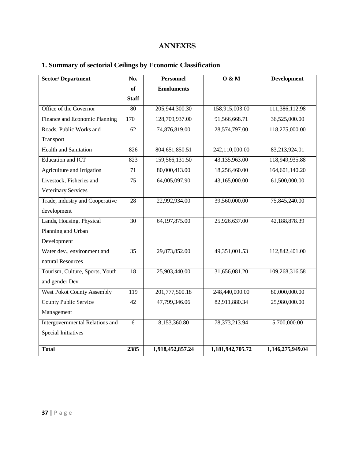# **ANNEXES**

# <span id="page-43-1"></span><span id="page-43-0"></span>**1. Summary of sectorial Ceilings by Economic Classification**

| <b>Sector/Department</b>          | No.             | <b>Personnel</b>  | 0 & M            | <b>Development</b> |
|-----------------------------------|-----------------|-------------------|------------------|--------------------|
|                                   | <b>of</b>       | <b>Emoluments</b> |                  |                    |
|                                   | <b>Staff</b>    |                   |                  |                    |
| Office of the Governor            | 80              | 205,944,300.30    | 158,915,003.00   | 111,386,112.98     |
| Finance and Economic Planning     | 170             | 128,709,937.00    | 91,566,668.71    | 36,525,000.00      |
| Roads, Public Works and           | 62              | 74,876,819.00     | 28,574,797.00    | 118,275,000.00     |
| Transport                         |                 |                   |                  |                    |
| <b>Health and Sanitation</b>      | 826             | 804, 651, 850. 51 | 242,110,000.00   | 83,213,924.01      |
| <b>Education and ICT</b>          | 823             | 159,566,131.50    | 43,135,963.00    | 118,949,935.88     |
| Agriculture and Irrigation        | $\overline{71}$ | 80,000,413.00     | 18,256,460.00    | 164,601,140.20     |
| Livestock, Fisheries and          | $\overline{75}$ | 64,005,097.90     | 43,165,000.00    | 61,500,000.00      |
| <b>Veterinary Services</b>        |                 |                   |                  |                    |
| Trade, industry and Cooperative   | 28              | 22,992,934.00     | 39,560,000.00    | 75,845,240.00      |
| development                       |                 |                   |                  |                    |
| Lands, Housing, Physical          | 30              | 64, 197, 875.00   | 25,926,637.00    | 42,188,878.39      |
| Planning and Urban                |                 |                   |                  |                    |
| Development                       |                 |                   |                  |                    |
| Water dev., environment and       | 35              | 29,873,852.00     | 49,351,001.53    | 112,842,401.00     |
| natural Resources                 |                 |                   |                  |                    |
| Tourism, Culture, Sports, Youth   | 18              | 25,903,440.00     | 31,656,081.20    | 109,268,316.58     |
| and gender Dev.                   |                 |                   |                  |                    |
| <b>West Pokot County Assembly</b> | 119             | 201,777,500.18    | 248,440,000.00   | 80,000,000.00      |
| <b>County Public Service</b>      | 42              | 47,799,346.06     | 82,911,880.34    | 25,980,000.00      |
| Management                        |                 |                   |                  |                    |
| Intergovernmental Relations and   | 6               | 8,153,360.80      | 78, 373, 213. 94 | 5,700,000.00       |
| Special Initiatives               |                 |                   |                  |                    |
|                                   |                 |                   |                  |                    |
| <b>Total</b>                      | 2385            | 1,918,452,857.24  | 1,181,942,705.72 | 1,146,275,949.04   |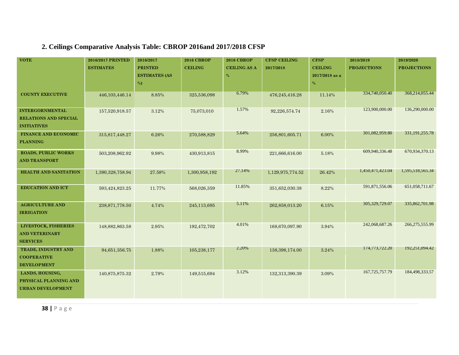# **2. Ceilings Comparative Analysis Table: CBROP 2016and 2017/2018 CFSP**

<span id="page-44-0"></span>

| <b>VOTE</b>                                                                  | 2016/2017 PRINTED<br><b>ESTIMATES</b> | 2016/2017<br><b>PRINTED</b><br><b>ESTIMATES (AS</b><br>% | <b>2016 CBROP</b><br><b>CEILING</b> | <b>2016 CBROP</b><br><b>CEILING AS A</b><br>$\%$ | <b>CFSP CEILING</b><br>2017/2018 | <b>CFSP</b><br><b>CEILING</b><br>2017/2018 as a<br>$\%$ | 2018/2019<br><b>PROJECTIONS</b> | 2019/2020<br><b>PROJECTIONS</b> |
|------------------------------------------------------------------------------|---------------------------------------|----------------------------------------------------------|-------------------------------------|--------------------------------------------------|----------------------------------|---------------------------------------------------------|---------------------------------|---------------------------------|
| <b>COUNTY EXECUTIVE</b>                                                      | 446, 103, 446. 14                     | 8.85%                                                    | 325,536,098                         | 6.79%                                            | 476,245,416.28                   | 11.14%                                                  | 334,740,050.40                  | 368,214,055.44                  |
| <b>INTERGORNMENTAL</b><br><b>RELATIONS AND SPECIAL</b><br><b>INITIATIVES</b> | 157,520,918.57                        | $3.12\%$                                                 | 75,073,010                          | 1.57%                                            | 92,226,574.74                    | 2.16%                                                   | 123,900,000.00                  | 136,290,000.00                  |
| <b>FINANCE AND ECONOMIC</b><br><b>PLANNING</b>                               | 315,817,448.27                        | 6.26%                                                    | 270,588,829                         | 5.64%                                            | 256,801,605.71                   | 6.00%                                                   | 301,082,959.80                  | 331, 191, 255. 78               |
| <b>ROADS, PUBLIC WORKS</b><br><b>AND TRANSPORT</b>                           | 503,208,962.92                        | 9.98%                                                    | 430,913,815                         | 8.99%                                            | 221,666,616.00                   | $5.18\%$                                                | 609,940,336.48                  | 670,934,370.13                  |
| <b>HEALTH AND SANITATION</b>                                                 | 1,390,328,758.94                      | 27.58%                                                   | 1,300,958,192                       | 27.14%                                           | 1,129,975,774.52                 | 26.42%                                                  | 1,450,471,423.04                | 1,595,518,565.34                |
| <b>EDUCATION AND ICT</b>                                                     | 593,424,823.25                        | 11.77%                                                   | 568,026,359                         | 11.85%                                           | 351,652,030.38                   | 8.22%                                                   | 591,871,556.06                  | 651,058,711.67                  |
| <b>AGRICULTURE AND</b><br><b>IRRIGATION</b>                                  | 238,871,778.50                        | 4.74%                                                    | 245,113,695                         | 5.11%                                            | 262,858,013.20                   | 6.15%                                                   | 305,329,729.07                  | 335,862,701.98                  |
| LIVESTOCK, FISHERIES<br><b>AND VETERINARY</b><br><b>SERVICES</b>             | 148,882,863.58                        | 2.95%                                                    | 192,472,702                         | 4.01%                                            | 168,670,097.90                   | 3.94%                                                   | 242,068,687.26                  | 266,275,555.99                  |
| TRADE, INDUSTRY AND<br><b>COOPERATIVE</b><br><b>DEVELOPMENT</b>              | 94, 651, 356.75                       | 1.88%                                                    | 105,238,177                         | 2.20%                                            | 138,398,174.00                   | 3.24%                                                   | 174,773,722.20                  | 192,251,094.42                  |
| LANDS, HOUSING,<br>PHYSICAL PLANNING AND<br><b>URBAN DEVELOPMENT</b>         | 140,875,875.32                        | 2.79%                                                    | 149,515,694                         | 3.12%                                            | 132,313,390.39                   | $3.09\%$                                                | 167, 725, 757. 79               | 184,498,333.57                  |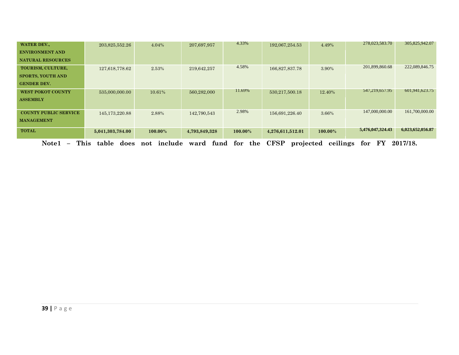| <b>WATER DEV.,</b>           | 203,825,552.26   | 4.04%   | 207,697,957   | 4.33%   | 192,067,254.53    | 4.49%   | 278,023,583.70   | 305,825,942.07   |
|------------------------------|------------------|---------|---------------|---------|-------------------|---------|------------------|------------------|
| <b>ENVIRONMENT AND</b>       |                  |         |               |         |                   |         |                  |                  |
| <b>NATURAL RESOURCES</b>     |                  |         |               |         |                   |         |                  |                  |
| TOURISM, CULTURE,            | 127,618,778.62   | 2.53%   | 219,642,257   | 4.58%   | 166,827,837.78    | 3.90%   | 201,899,860.68   | 222,089,846.75   |
| <b>SPORTS, YOUTH AND</b>     |                  |         |               |         |                   |         |                  |                  |
| <b>GENDER DEV.</b>           |                  |         |               |         |                   |         |                  |                  |
| <b>WEST POKOT COUNTY</b>     | 535,000,000.00   | 10.61%  | 560,282,000   | 11.69%  | 530, 217, 500. 18 | 12.40%  | 547,219,657.95   | 601,941,623.75   |
| <b>ASSEMBLY</b>              |                  |         |               |         |                   |         |                  |                  |
|                              |                  |         |               |         |                   |         |                  |                  |
| <b>COUNTY PUBLIC SERVICE</b> | 145, 173, 220.88 | 2.88%   | 142,790,543   | 2.98%   | 156,691,226.40    | 3.66%   | 147,000,000.00   | 161,700,000.00   |
| <b>MANAGEMENT</b>            |                  |         |               |         |                   |         |                  |                  |
| <b>TOTAL</b>                 | 5,041,303,784.00 | 100.00% | 4,793,849,328 | 100.00% | 4,276,611,512.01  | 100.00% | 5,476,047,324.43 | 6,023,652,056.87 |
|                              |                  |         |               |         |                   |         |                  |                  |

**Note1 – This table does not include ward fund for the CFSP projected ceilings for FY 2017/18.**